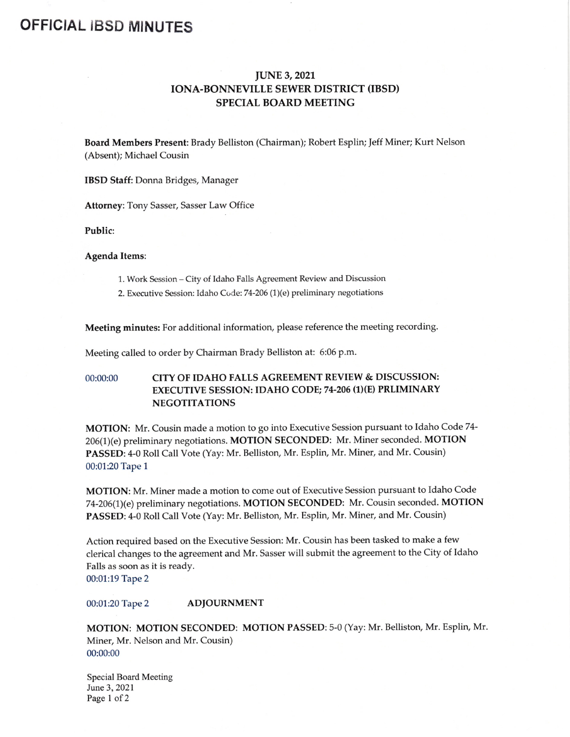## OFFICIAL IBSD MINUTES

## JUNE 3, 2021 IONA-BONNEVILLE SEWER DISTRICT (IBSD) SPECIAL BOARD MEETING

Board Members Present: Brady Belliston (Chairman); Robert Esplin; Jeff Miner; Kurt Nelson Absent); Michael Cousin

IBSD Staff: Donna Bridges, Manager

Attorney: Tony Sasser, Sasser Law Office

Public:

## Agenda Items:

- 1. Work Session—City of Idaho Falls Agreement Review and Discussion
- 2. Executive Session: Idaho Code: 74-206 (1)(e) preliminary negotiations

Meeting minutes: For additional information, please reference the meeting recording.

Meeting called to order by Chairman Brady Belliston at: 6:06 p.m.

## 00:00:00 CITY OF IDAHO FALLS AGREEMENT REVIEW & DISCUSSION: EXECUTIVE SESSION: IDAHO CODE; 74-206 (1)(E) PRLIMINARY **NEGOTITATIONS**

MOTION: Mr. Cousin made <sup>a</sup> motion to go into Executive Session pursuant to Idaho Code 74- 206(1)(e) preliminary negotiations. MOTION SECONDED: Mr. Miner seconded. MOTION PASSED: 4-0 Roll Call Vote (Yay: Mr. Belliston, Mr. Esplin, Mr. Miner, and Mr. Cousin) 00:01:20 Tape 1

MOTION: Mr. Miner made <sup>a</sup> motion to come out of Executive Session pursuant to Idaho Code 74-206(1)(e) preliminary negotiations. MOTION SECONDED: Mr. Cousin seconded. MOTION PASSED: 4-0 Roll Call Vote (Yay: Mr. Belliston, Mr. Esplin, Mr. Miner, and Mr. Cousin)

Action required based on the Executive Session: Mr. Cousin has been tasked to make <sup>a</sup> few clerical changes to the agreement and Mr. Sasser will submit the agreement to the City of Idaho Falls as soon as it is ready.

00:01:19 Tape 2

00:01:20 Tape 2 **ADJOURNMENT** 

MOTION: MOTION SECONDED: MOTION PASSED: 5-0 (Yay: Mr. Belliston, Mr. Esplin, Mr. Miner, Mr. Nelson and Mr. Cousin) 00:00:00

Special Board Meeting June 3, 2021 Page 1 of 2